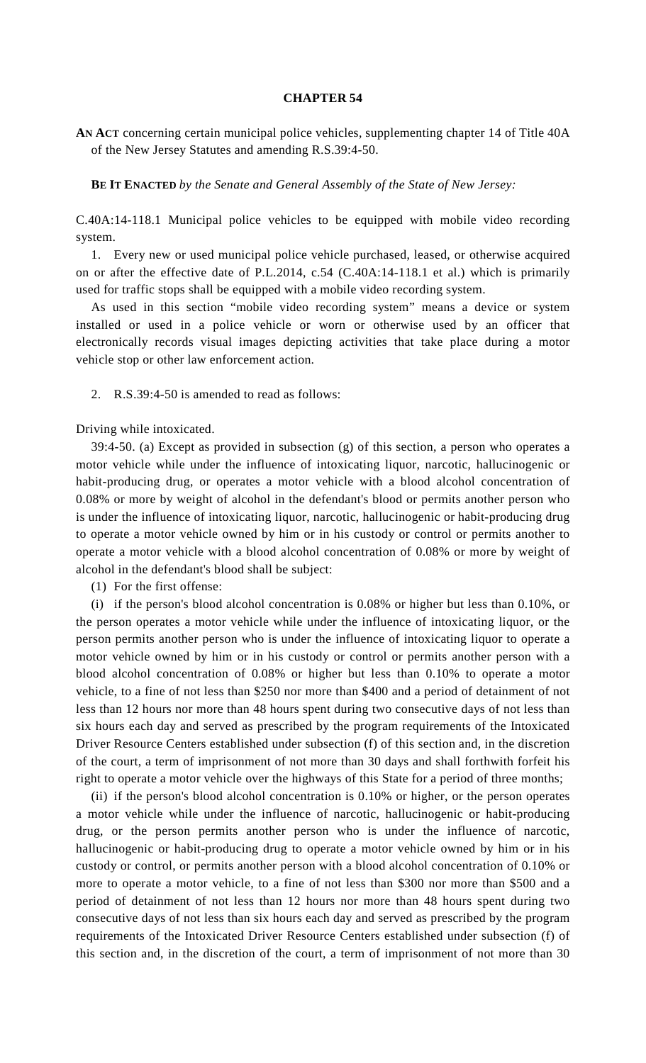## **CHAPTER 54**

**AN ACT** concerning certain municipal police vehicles, supplementing chapter 14 of Title 40A of the New Jersey Statutes and amending R.S.39:4-50.

**BE IT ENACTED** *by the Senate and General Assembly of the State of New Jersey:*

C.40A:14-118.1 Municipal police vehicles to be equipped with mobile video recording system.

 1. Every new or used municipal police vehicle purchased, leased, or otherwise acquired on or after the effective date of P.L.2014, c.54 (C.40A:14-118.1 et al.) which is primarily used for traffic stops shall be equipped with a mobile video recording system.

 As used in this section "mobile video recording system" means a device or system installed or used in a police vehicle or worn or otherwise used by an officer that electronically records visual images depicting activities that take place during a motor vehicle stop or other law enforcement action.

2. R.S.39:4-50 is amended to read as follows:

Driving while intoxicated.

 39:4-50. (a) Except as provided in subsection (g) of this section, a person who operates a motor vehicle while under the influence of intoxicating liquor, narcotic, hallucinogenic or habit-producing drug, or operates a motor vehicle with a blood alcohol concentration of 0.08% or more by weight of alcohol in the defendant's blood or permits another person who is under the influence of intoxicating liquor, narcotic, hallucinogenic or habit-producing drug to operate a motor vehicle owned by him or in his custody or control or permits another to operate a motor vehicle with a blood alcohol concentration of 0.08% or more by weight of alcohol in the defendant's blood shall be subject:

(1) For the first offense:

 (i) if the person's blood alcohol concentration is 0.08% or higher but less than 0.10%, or the person operates a motor vehicle while under the influence of intoxicating liquor, or the person permits another person who is under the influence of intoxicating liquor to operate a motor vehicle owned by him or in his custody or control or permits another person with a blood alcohol concentration of 0.08% or higher but less than 0.10% to operate a motor vehicle, to a fine of not less than \$250 nor more than \$400 and a period of detainment of not less than 12 hours nor more than 48 hours spent during two consecutive days of not less than six hours each day and served as prescribed by the program requirements of the Intoxicated Driver Resource Centers established under subsection (f) of this section and, in the discretion of the court, a term of imprisonment of not more than 30 days and shall forthwith forfeit his right to operate a motor vehicle over the highways of this State for a period of three months;

 (ii) if the person's blood alcohol concentration is 0.10% or higher, or the person operates a motor vehicle while under the influence of narcotic, hallucinogenic or habit-producing drug, or the person permits another person who is under the influence of narcotic, hallucinogenic or habit-producing drug to operate a motor vehicle owned by him or in his custody or control, or permits another person with a blood alcohol concentration of 0.10% or more to operate a motor vehicle, to a fine of not less than \$300 nor more than \$500 and a period of detainment of not less than 12 hours nor more than 48 hours spent during two consecutive days of not less than six hours each day and served as prescribed by the program requirements of the Intoxicated Driver Resource Centers established under subsection (f) of this section and, in the discretion of the court, a term of imprisonment of not more than 30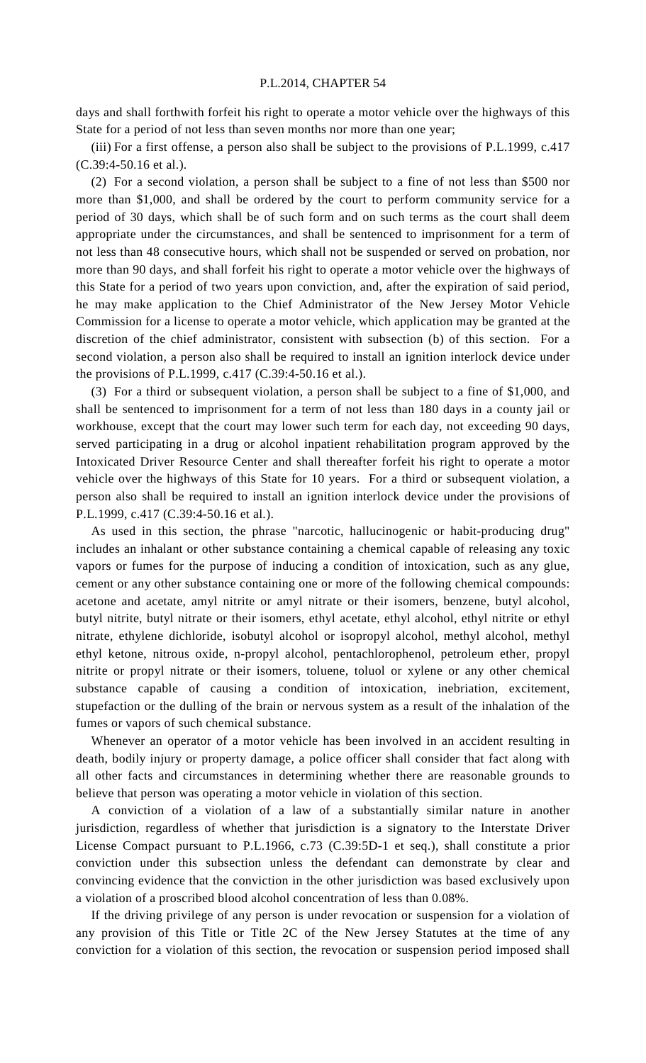## P.L.2014, CHAPTER 54

days and shall forthwith forfeit his right to operate a motor vehicle over the highways of this State for a period of not less than seven months nor more than one year;

 (iii) For a first offense, a person also shall be subject to the provisions of P.L.1999, c.417 (C.39:4-50.16 et al.).

 (2) For a second violation, a person shall be subject to a fine of not less than \$500 nor more than \$1,000, and shall be ordered by the court to perform community service for a period of 30 days, which shall be of such form and on such terms as the court shall deem appropriate under the circumstances, and shall be sentenced to imprisonment for a term of not less than 48 consecutive hours, which shall not be suspended or served on probation, nor more than 90 days, and shall forfeit his right to operate a motor vehicle over the highways of this State for a period of two years upon conviction, and, after the expiration of said period, he may make application to the Chief Administrator of the New Jersey Motor Vehicle Commission for a license to operate a motor vehicle, which application may be granted at the discretion of the chief administrator, consistent with subsection (b) of this section. For a second violation, a person also shall be required to install an ignition interlock device under the provisions of P.L.1999, c.417 (C.39:4-50.16 et al.).

 (3) For a third or subsequent violation, a person shall be subject to a fine of \$1,000, and shall be sentenced to imprisonment for a term of not less than 180 days in a county jail or workhouse, except that the court may lower such term for each day, not exceeding 90 days, served participating in a drug or alcohol inpatient rehabilitation program approved by the Intoxicated Driver Resource Center and shall thereafter forfeit his right to operate a motor vehicle over the highways of this State for 10 years. For a third or subsequent violation, a person also shall be required to install an ignition interlock device under the provisions of P.L.1999, c.417 (C.39:4-50.16 et al.).

 As used in this section, the phrase "narcotic, hallucinogenic or habit-producing drug" includes an inhalant or other substance containing a chemical capable of releasing any toxic vapors or fumes for the purpose of inducing a condition of intoxication, such as any glue, cement or any other substance containing one or more of the following chemical compounds: acetone and acetate, amyl nitrite or amyl nitrate or their isomers, benzene, butyl alcohol, butyl nitrite, butyl nitrate or their isomers, ethyl acetate, ethyl alcohol, ethyl nitrite or ethyl nitrate, ethylene dichloride, isobutyl alcohol or isopropyl alcohol, methyl alcohol, methyl ethyl ketone, nitrous oxide, n-propyl alcohol, pentachlorophenol, petroleum ether, propyl nitrite or propyl nitrate or their isomers, toluene, toluol or xylene or any other chemical substance capable of causing a condition of intoxication, inebriation, excitement, stupefaction or the dulling of the brain or nervous system as a result of the inhalation of the fumes or vapors of such chemical substance.

 Whenever an operator of a motor vehicle has been involved in an accident resulting in death, bodily injury or property damage, a police officer shall consider that fact along with all other facts and circumstances in determining whether there are reasonable grounds to believe that person was operating a motor vehicle in violation of this section.

 A conviction of a violation of a law of a substantially similar nature in another jurisdiction, regardless of whether that jurisdiction is a signatory to the Interstate Driver License Compact pursuant to P.L.1966, c.73 (C.39:5D-1 et seq.), shall constitute a prior conviction under this subsection unless the defendant can demonstrate by clear and convincing evidence that the conviction in the other jurisdiction was based exclusively upon a violation of a proscribed blood alcohol concentration of less than 0.08%.

 If the driving privilege of any person is under revocation or suspension for a violation of any provision of this Title or Title 2C of the New Jersey Statutes at the time of any conviction for a violation of this section, the revocation or suspension period imposed shall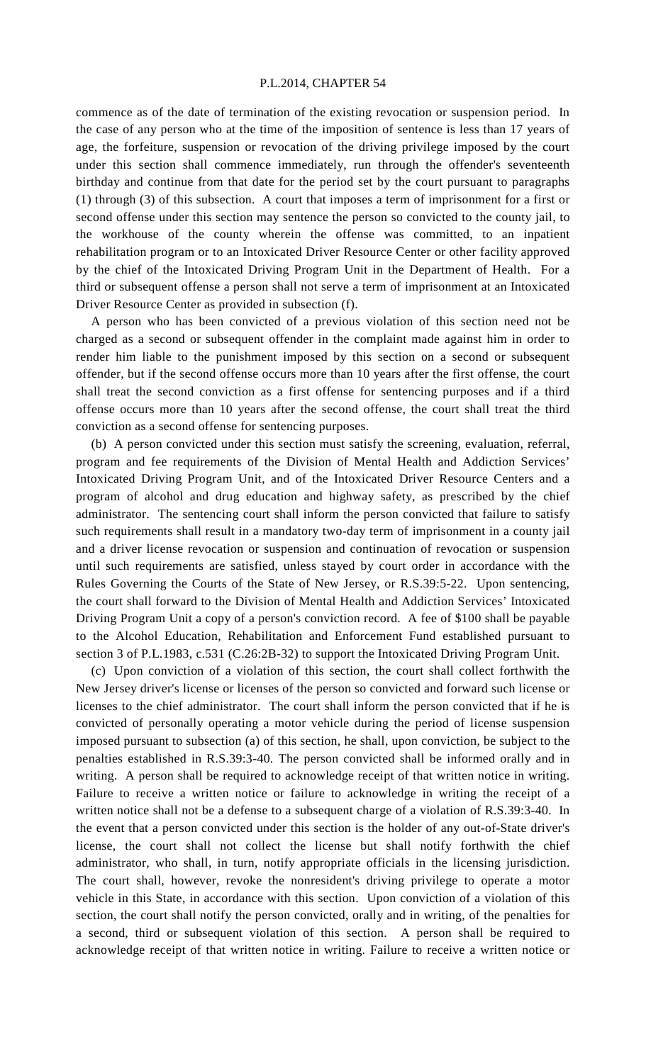## P.L.2014, CHAPTER 54

commence as of the date of termination of the existing revocation or suspension period. In the case of any person who at the time of the imposition of sentence is less than 17 years of age, the forfeiture, suspension or revocation of the driving privilege imposed by the court under this section shall commence immediately, run through the offender's seventeenth birthday and continue from that date for the period set by the court pursuant to paragraphs (1) through (3) of this subsection. A court that imposes a term of imprisonment for a first or second offense under this section may sentence the person so convicted to the county jail, to the workhouse of the county wherein the offense was committed, to an inpatient rehabilitation program or to an Intoxicated Driver Resource Center or other facility approved by the chief of the Intoxicated Driving Program Unit in the Department of Health. For a third or subsequent offense a person shall not serve a term of imprisonment at an Intoxicated Driver Resource Center as provided in subsection (f).

 A person who has been convicted of a previous violation of this section need not be charged as a second or subsequent offender in the complaint made against him in order to render him liable to the punishment imposed by this section on a second or subsequent offender, but if the second offense occurs more than 10 years after the first offense, the court shall treat the second conviction as a first offense for sentencing purposes and if a third offense occurs more than 10 years after the second offense, the court shall treat the third conviction as a second offense for sentencing purposes.

 (b) A person convicted under this section must satisfy the screening, evaluation, referral, program and fee requirements of the Division of Mental Health and Addiction Services' Intoxicated Driving Program Unit, and of the Intoxicated Driver Resource Centers and a program of alcohol and drug education and highway safety, as prescribed by the chief administrator. The sentencing court shall inform the person convicted that failure to satisfy such requirements shall result in a mandatory two-day term of imprisonment in a county jail and a driver license revocation or suspension and continuation of revocation or suspension until such requirements are satisfied, unless stayed by court order in accordance with the Rules Governing the Courts of the State of New Jersey, or R.S.39:5-22. Upon sentencing, the court shall forward to the Division of Mental Health and Addiction Services' Intoxicated Driving Program Unit a copy of a person's conviction record. A fee of \$100 shall be payable to the Alcohol Education, Rehabilitation and Enforcement Fund established pursuant to section 3 of P.L.1983, c.531 (C.26:2B-32) to support the Intoxicated Driving Program Unit.

 (c) Upon conviction of a violation of this section, the court shall collect forthwith the New Jersey driver's license or licenses of the person so convicted and forward such license or licenses to the chief administrator. The court shall inform the person convicted that if he is convicted of personally operating a motor vehicle during the period of license suspension imposed pursuant to subsection (a) of this section, he shall, upon conviction, be subject to the penalties established in R.S.39:3-40. The person convicted shall be informed orally and in writing. A person shall be required to acknowledge receipt of that written notice in writing. Failure to receive a written notice or failure to acknowledge in writing the receipt of a written notice shall not be a defense to a subsequent charge of a violation of R.S.39:3-40. In the event that a person convicted under this section is the holder of any out-of-State driver's license, the court shall not collect the license but shall notify forthwith the chief administrator, who shall, in turn, notify appropriate officials in the licensing jurisdiction. The court shall, however, revoke the nonresident's driving privilege to operate a motor vehicle in this State, in accordance with this section. Upon conviction of a violation of this section, the court shall notify the person convicted, orally and in writing, of the penalties for a second, third or subsequent violation of this section. A person shall be required to acknowledge receipt of that written notice in writing. Failure to receive a written notice or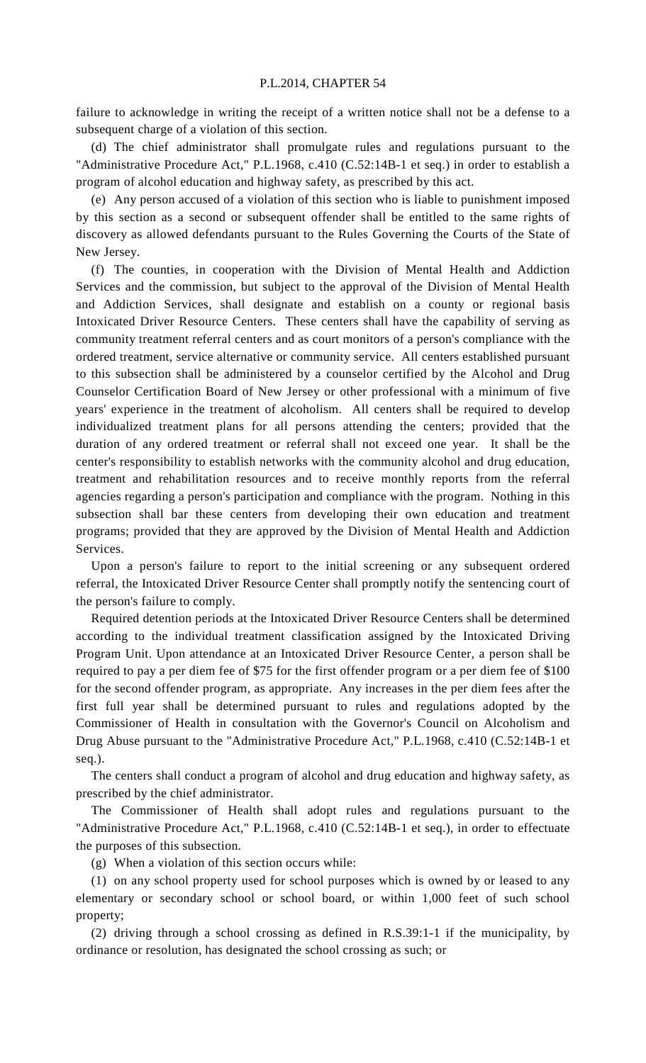failure to acknowledge in writing the receipt of a written notice shall not be a defense to a subsequent charge of a violation of this section.

 (d) The chief administrator shall promulgate rules and regulations pursuant to the "Administrative Procedure Act," P.L.1968, c.410 (C.52:14B-1 et seq.) in order to establish a program of alcohol education and highway safety, as prescribed by this act.

 (e) Any person accused of a violation of this section who is liable to punishment imposed by this section as a second or subsequent offender shall be entitled to the same rights of discovery as allowed defendants pursuant to the Rules Governing the Courts of the State of New Jersey.

 (f) The counties, in cooperation with the Division of Mental Health and Addiction Services and the commission, but subject to the approval of the Division of Mental Health and Addiction Services, shall designate and establish on a county or regional basis Intoxicated Driver Resource Centers. These centers shall have the capability of serving as community treatment referral centers and as court monitors of a person's compliance with the ordered treatment, service alternative or community service. All centers established pursuant to this subsection shall be administered by a counselor certified by the Alcohol and Drug Counselor Certification Board of New Jersey or other professional with a minimum of five years' experience in the treatment of alcoholism. All centers shall be required to develop individualized treatment plans for all persons attending the centers; provided that the duration of any ordered treatment or referral shall not exceed one year. It shall be the center's responsibility to establish networks with the community alcohol and drug education, treatment and rehabilitation resources and to receive monthly reports from the referral agencies regarding a person's participation and compliance with the program. Nothing in this subsection shall bar these centers from developing their own education and treatment programs; provided that they are approved by the Division of Mental Health and Addiction Services.

 Upon a person's failure to report to the initial screening or any subsequent ordered referral, the Intoxicated Driver Resource Center shall promptly notify the sentencing court of the person's failure to comply.

 Required detention periods at the Intoxicated Driver Resource Centers shall be determined according to the individual treatment classification assigned by the Intoxicated Driving Program Unit. Upon attendance at an Intoxicated Driver Resource Center, a person shall be required to pay a per diem fee of \$75 for the first offender program or a per diem fee of \$100 for the second offender program, as appropriate. Any increases in the per diem fees after the first full year shall be determined pursuant to rules and regulations adopted by the Commissioner of Health in consultation with the Governor's Council on Alcoholism and Drug Abuse pursuant to the "Administrative Procedure Act," P.L.1968, c.410 (C.52:14B-1 et seq.).

 The centers shall conduct a program of alcohol and drug education and highway safety, as prescribed by the chief administrator.

 The Commissioner of Health shall adopt rules and regulations pursuant to the "Administrative Procedure Act," P.L.1968, c.410 (C.52:14B-1 et seq.), in order to effectuate the purposes of this subsection.

(g) When a violation of this section occurs while:

 (1) on any school property used for school purposes which is owned by or leased to any elementary or secondary school or school board, or within 1,000 feet of such school property;

 (2) driving through a school crossing as defined in R.S.39:1-1 if the municipality, by ordinance or resolution, has designated the school crossing as such; or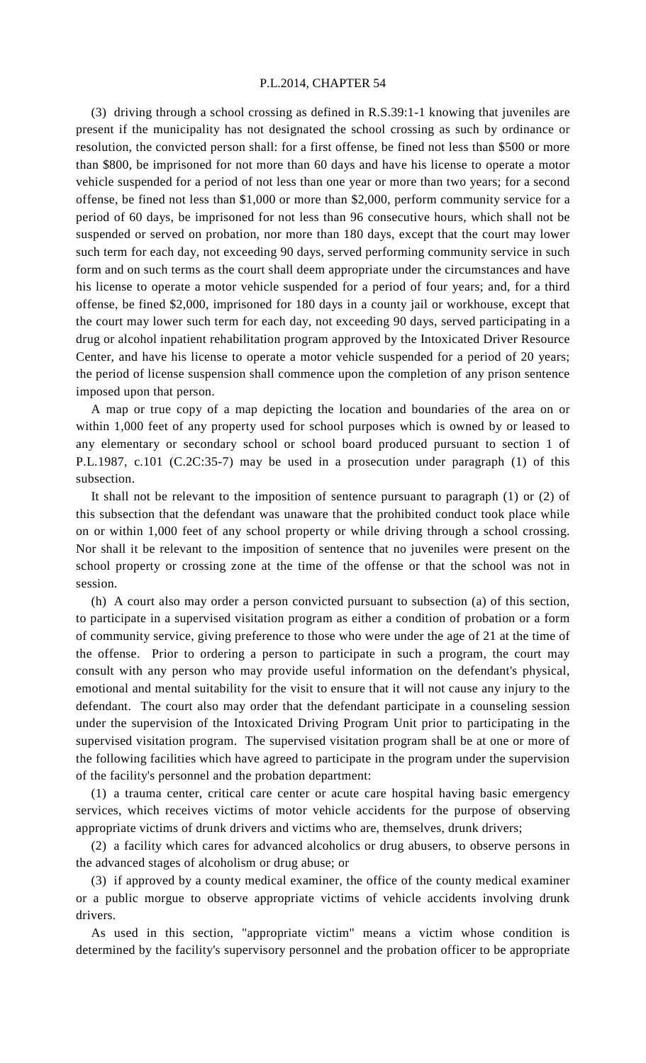## P.L.2014, CHAPTER 54

 (3) driving through a school crossing as defined in R.S.39:1-1 knowing that juveniles are present if the municipality has not designated the school crossing as such by ordinance or resolution, the convicted person shall: for a first offense, be fined not less than \$500 or more than \$800, be imprisoned for not more than 60 days and have his license to operate a motor vehicle suspended for a period of not less than one year or more than two years; for a second offense, be fined not less than \$1,000 or more than \$2,000, perform community service for a period of 60 days, be imprisoned for not less than 96 consecutive hours, which shall not be suspended or served on probation, nor more than 180 days, except that the court may lower such term for each day, not exceeding 90 days, served performing community service in such form and on such terms as the court shall deem appropriate under the circumstances and have his license to operate a motor vehicle suspended for a period of four years; and, for a third offense, be fined \$2,000, imprisoned for 180 days in a county jail or workhouse, except that the court may lower such term for each day, not exceeding 90 days, served participating in a drug or alcohol inpatient rehabilitation program approved by the Intoxicated Driver Resource Center, and have his license to operate a motor vehicle suspended for a period of 20 years; the period of license suspension shall commence upon the completion of any prison sentence imposed upon that person.

 A map or true copy of a map depicting the location and boundaries of the area on or within 1,000 feet of any property used for school purposes which is owned by or leased to any elementary or secondary school or school board produced pursuant to section 1 of P.L.1987, c.101 (C.2C:35-7) may be used in a prosecution under paragraph (1) of this subsection.

 It shall not be relevant to the imposition of sentence pursuant to paragraph (1) or (2) of this subsection that the defendant was unaware that the prohibited conduct took place while on or within 1,000 feet of any school property or while driving through a school crossing. Nor shall it be relevant to the imposition of sentence that no juveniles were present on the school property or crossing zone at the time of the offense or that the school was not in session.

 (h) A court also may order a person convicted pursuant to subsection (a) of this section, to participate in a supervised visitation program as either a condition of probation or a form of community service, giving preference to those who were under the age of 21 at the time of the offense. Prior to ordering a person to participate in such a program, the court may consult with any person who may provide useful information on the defendant's physical, emotional and mental suitability for the visit to ensure that it will not cause any injury to the defendant. The court also may order that the defendant participate in a counseling session under the supervision of the Intoxicated Driving Program Unit prior to participating in the supervised visitation program. The supervised visitation program shall be at one or more of the following facilities which have agreed to participate in the program under the supervision of the facility's personnel and the probation department:

 (1) a trauma center, critical care center or acute care hospital having basic emergency services, which receives victims of motor vehicle accidents for the purpose of observing appropriate victims of drunk drivers and victims who are, themselves, drunk drivers;

 (2) a facility which cares for advanced alcoholics or drug abusers, to observe persons in the advanced stages of alcoholism or drug abuse; or

 (3) if approved by a county medical examiner, the office of the county medical examiner or a public morgue to observe appropriate victims of vehicle accidents involving drunk drivers.

 As used in this section, "appropriate victim" means a victim whose condition is determined by the facility's supervisory personnel and the probation officer to be appropriate